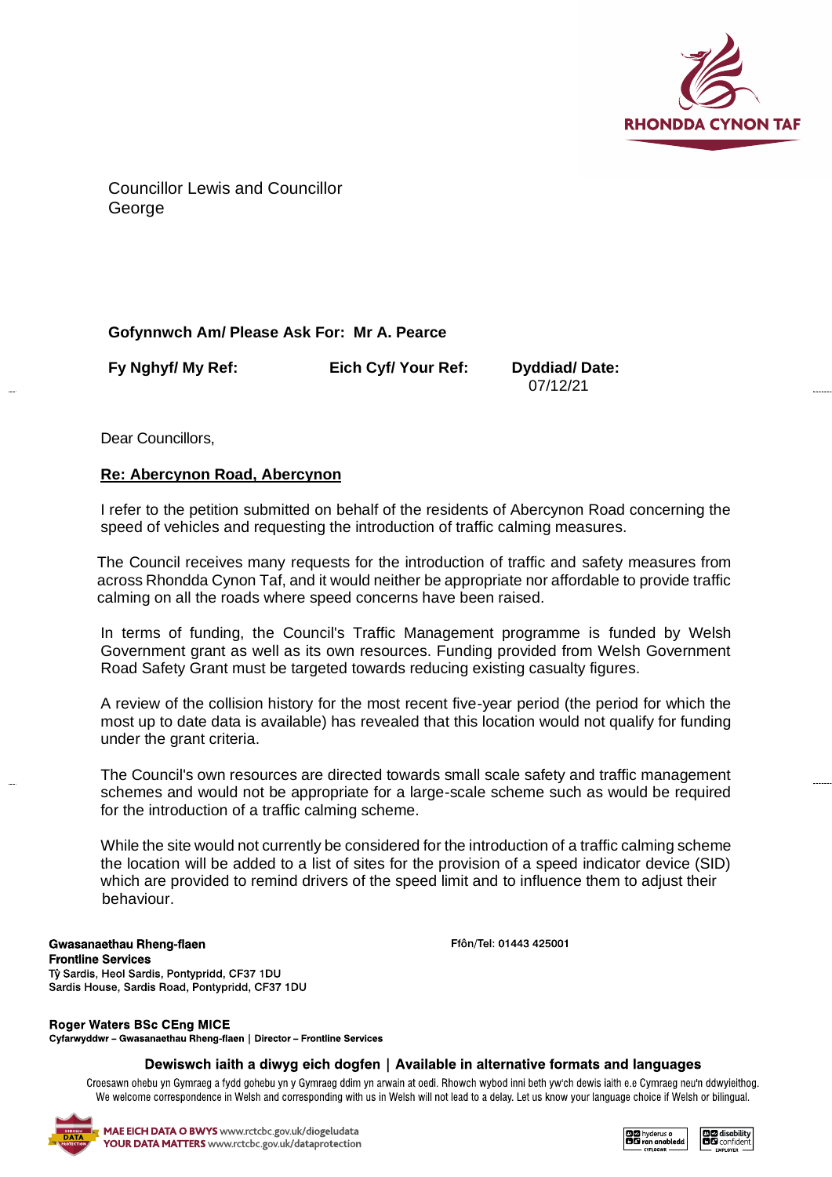

Councillor Lewis and Councillor **George** 

## **Gofynnwch Am/ Please Ask For: Mr A. Pearce**

**Fy Nghyf/ My Ref: Eich Cyf/ Your Ref: Dyddiad/ Date:**

07/12/21

Dear Councillors,

## **Re: Abercynon Road, Abercynon**

I refer to the petition submitted on behalf of the residents of Abercynon Road concerning the speed of vehicles and requesting the introduction of traffic calming measures.

The Council receives many requests for the introduction of traffic and safety measures from across Rhondda Cynon Taf, and it would neither be appropriate nor affordable to provide traffic calming on all the roads where speed concerns have been raised.

In terms of funding, the Council's Traffic Management programme is funded by Welsh Government grant as well as its own resources. Funding provided from Welsh Government Road Safety Grant must be targeted towards reducing existing casualty figures.

A review of the collision history for the most recent five-year period (the period for which the most up to date data is available) has revealed that this location would not qualify for funding under the grant criteria.

The Council's own resources are directed towards small scale safety and traffic management schemes and would not be appropriate for a large-scale scheme such as would be required for the introduction of a traffic calming scheme.

While the site would not currently be considered for the introduction of a traffic calming scheme the location will be added to a list of sites for the provision of a speed indicator device (SID) which are provided to remind drivers of the speed limit and to influence them to adjust their behaviour.

Gwasanaethau Rheng-flaen **Frontline Services** Tŷ Sardis, Heol Sardis, Pontypridd, CF37 1DU Sardis House, Sardis Road, Pontypridd, CF37 1DU

**Roger Waters BSc CEng MICE** 

Cyfarwyddwr - Gwasanaethau Rheng-flaen | Director - Frontline Services

## Dewiswch iaith a diwyg eich dogfen | Available in alternative formats and languages

Croesawn ohebu yn Gymraeg a fydd gohebu yn y Gymraeg ddim yn arwain at oedi. Rhowch wybod inni beth yw'ch dewis iaith e.e Cymraeg neu'n ddwyieithog. We welcome correspondence in Welsh and corresponding with us in Welsh will not lead to a delay. Let us know your language choice if Welsh or bilingual.



**DIZ** hyderus o<br>**BIG** ran anabled



Ffôn/Tel: 01443 425001